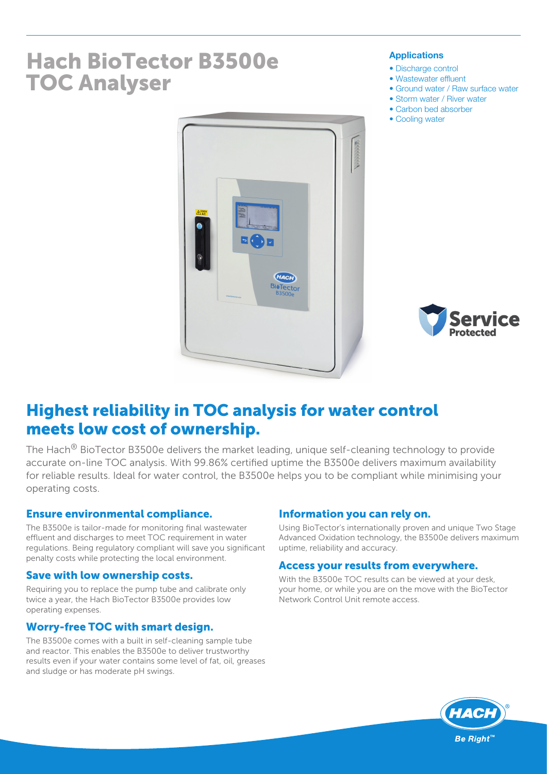# Hach BioTector B3500e TOC Analyser

#### Applications

- Discharge control
- Wastewater effluent
- Ground water / Raw surface water
- Storm water / River water
- Carbon bed absorber
- Cooling water





## Highest reliability in TOC analysis for water control meets low cost of ownership.

The Hach<sup>®</sup> BioTector B3500e delivers the market leading, unique self-cleaning technology to provide accurate on-line TOC analysis. With 99.86% certified uptime the B3500e delivers maximum availability for reliable results. Ideal for water control, the B3500e helps you to be compliant while minimising your operating costs.

## Ensure environmental compliance.

The B3500e is tailor-made for monitoring final wastewater effluent and discharges to meet TOC requirement in water regulations. Being regulatory compliant will save you significant penalty costs while protecting the local environment.

## Save with low ownership costs.

Requiring you to replace the pump tube and calibrate only twice a year, the Hach BioTector B3500e provides low operating expenses.

## Worry-free TOC with smart design.

The B3500e comes with a built in self-cleaning sample tube and reactor. This enables the B3500e to deliver trustworthy results even if your water contains some level of fat, oil, greases and sludge or has moderate pH swings.

## Information you can rely on.

Using BioTector's internationally proven and unique Two Stage Advanced Oxidation technology, the B3500e delivers maximum uptime, reliability and accuracy.

## Access your results from everywhere.

With the B3500e TOC results can be viewed at your desk, your home, or while you are on the move with the BioTector Network Control Unit remote access.

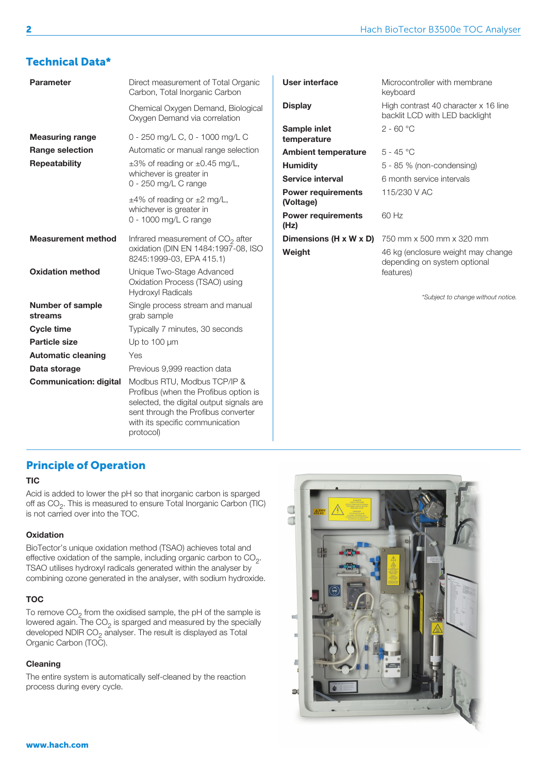## Technical Data\*

| Direct measurement of Total Organic<br>Carbon, Total Inorganic Carbon                                                                                                                                   | <b>User</b>                                                 |
|---------------------------------------------------------------------------------------------------------------------------------------------------------------------------------------------------------|-------------------------------------------------------------|
| Chemical Oxygen Demand, Biological<br>Oxygen Demand via correlation                                                                                                                                     | <b>Displa</b>                                               |
| 0 - 250 mg/L C, 0 - 1000 mg/L C                                                                                                                                                                         | Samp<br>temp                                                |
| $\pm 3\%$ of reading or $\pm 0.45$ mg/L,<br>whichever is greater in                                                                                                                                     | Ambi<br>Humi<br><b>Servi</b>                                |
| $\pm$ 4% of reading or $\pm$ 2 mg/L,<br>whichever is greater in<br>0 - 1000 mg/L C range                                                                                                                | Powe<br>(Volta<br>Powe<br>(Hz)                              |
| Infrared measurement of $CO2$ after<br>oxidation (DIN EN 1484:1997-08, ISO<br>8245:1999-03, EPA 415.1)                                                                                                  | <b>Dime</b><br>Weigl                                        |
| Unique Two-Stage Advanced<br>Oxidation Process (TSAO) using<br><b>Hydroxyl Radicals</b>                                                                                                                 |                                                             |
| Single process stream and manual<br>grab sample                                                                                                                                                         |                                                             |
| Typically 7 minutes, 30 seconds                                                                                                                                                                         |                                                             |
| Up to 100 µm                                                                                                                                                                                            |                                                             |
| Yes                                                                                                                                                                                                     |                                                             |
| Previous 9,999 reaction data                                                                                                                                                                            |                                                             |
| Modbus RTU, Modbus TCP/IP &<br>Profibus (when the Profibus option is<br>selected, the digital output signals are<br>sent through the Profibus converter<br>with its specific communication<br>protocol) |                                                             |
|                                                                                                                                                                                                         | Automatic or manual range selection<br>0 - 250 mg/L C range |

| User interface                         | Microcontroller with membrane<br>keyboard                                       |
|----------------------------------------|---------------------------------------------------------------------------------|
| <b>Display</b>                         | High contrast 40 character x 16 line<br>backlit LCD with LED backlight          |
| Sample inlet<br>temperature            | $2 - 60 °C$                                                                     |
| <b>Ambient temperature</b>             | $5 - 45 °C$                                                                     |
| <b>Humidity</b>                        | 5 - 85 % (non-condensing)                                                       |
| Service interval                       | 6 month service intervals                                                       |
| <b>Power requirements</b><br>(Voltage) | 115/230 V AC                                                                    |
| <b>Power requirements</b><br>(Hz)      | 60 Hz                                                                           |
| Dimensions (H x W x D)                 | 750 mm x 500 mm x 320 mm                                                        |
| Weight                                 | 46 kg (enclosure weight may change<br>depending on system optional<br>features) |

*\*Subject to change without notice.*

## Principle of Operation

#### **TIC**

Acid is added to lower the pH so that inorganic carbon is sparged off as CO<sub>2</sub>. This is measured to ensure Total Inorganic Carbon (TIC) is not carried over into the TOC.

#### **Oxidation**

BioTector's unique oxidation method (TSAO) achieves total and effective oxidation of the sample, including organic carbon to  $CO<sub>2</sub>$ . TSAO utilises hydroxyl radicals generated within the analyser by combining ozone generated in the analyser, with sodium hydroxide.

#### TOC

To remove CO $_2$  from the oxidised sample, the pH of the sample is lowered again. The CO<sub>2</sub> is sparged and measured by the specially developed NDIR  $CO<sub>2</sub>$  analyser. The result is displayed as Total Organic Carbon (TOC).

#### Cleaning

The entire system is automatically self-cleaned by the reaction process during every cycle.

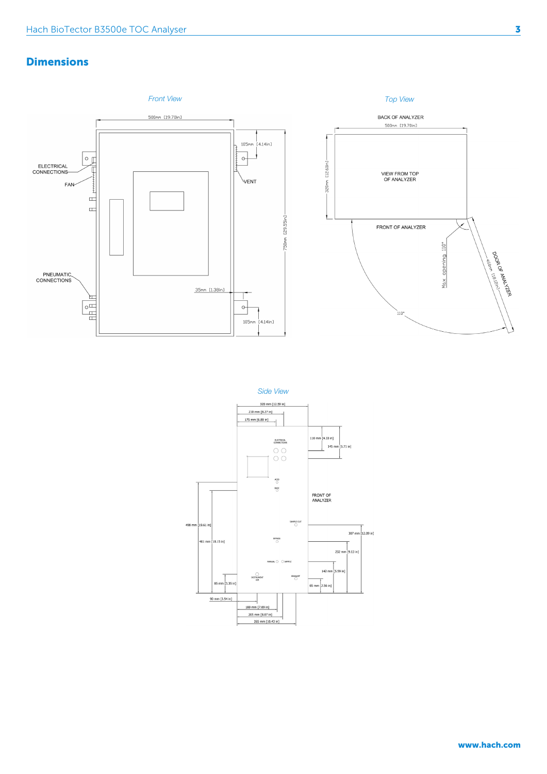## **Dimensions**